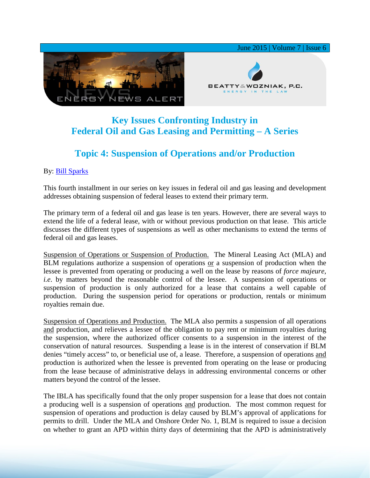

## **Key Issues Confronting Industry in Federal Oil and Gas Leasing and Permitting – A Series**

## **Topic 4: Suspension of Operations and/or Production**

## By: [Bill Sparks](http://www.bwenergylaw.com/#!william-sparks/c1ynl)

This fourth installment in our series on key issues in federal oil and gas leasing and development addresses obtaining suspension of federal leases to extend their primary term.

The primary term of a federal oil and gas lease is ten years. However, there are several ways to extend the life of a federal lease, with or without previous production on that lease. This article discusses the different types of suspensions as well as other mechanisms to extend the terms of federal oil and gas leases.

Suspension of Operations or Suspension of Production. The Mineral Leasing Act (MLA) and BLM regulations authorize a suspension of operations or a suspension of production when the lessee is prevented from operating or producing a well on the lease by reasons of *force majeure*, *i.e*. by matters beyond the reasonable control of the lessee. A suspension of operations or suspension of production is only authorized for a lease that contains a well capable of production. During the suspension period for operations or production, rentals or minimum royalties remain due.

Suspension of Operations and Production. The MLA also permits a suspension of all operations and production, and relieves a lessee of the obligation to pay rent or minimum royalties during the suspension, where the authorized officer consents to a suspension in the interest of the conservation of natural resources. Suspending a lease is in the interest of conservation if BLM denies "timely access" to, or beneficial use of, a lease. Therefore, a suspension of operations and production is authorized when the lessee is prevented from operating on the lease or producing from the lease because of administrative delays in addressing environmental concerns or other matters beyond the control of the lessee.

The IBLA has specifically found that the only proper suspension for a lease that does not contain a producing well is a suspension of operations and production. The most common request for suspension of operations and production is delay caused by BLM's approval of applications for permits to drill. Under the MLA and Onshore Order No. 1, BLM is required to issue a decision on whether to grant an APD within thirty days of determining that the APD is administratively